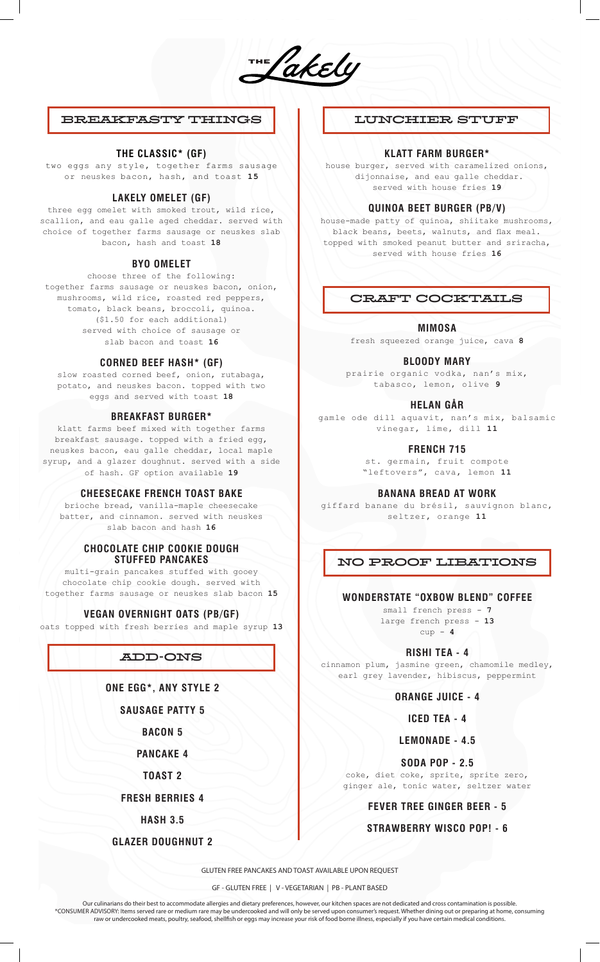THE Cakely

# BREAKFASTY THINGS

## **THE CLASSIC\* (GF)**

two eggs any style, together farms sausage or neuskes bacon, hash, and toast **15**

## **LAKELY OMELET (GF)**

three egg omelet with smoked trout, wild rice, scallion, and eau galle aged cheddar. served with choice of together farms sausage or neuskes slab bacon, hash and toast **18**

#### **BYO OMELET**

choose three of the following: together farms sausage or neuskes bacon, onion, mushrooms, wild rice, roasted red peppers, tomato, black beans, broccoli, quinoa. (\$1.50 for each additional) served with choice of sausage or slab bacon and toast **16**

#### **CORNED BEEF HASH\* (GF)**

slow roasted corned beef, onion, rutabaga, potato, and neuskes bacon. topped with two eggs and served with toast **18**

## **BREAKFAST BURGER\***

klatt farms beef mixed with together farms breakfast sausage. topped with a fried egg, neuskes bacon, eau galle cheddar, local maple syrup, and a glazer doughnut. served with a side of hash. GF option available **19**

#### **CHEESECAKE FRENCH TOAST BAKE**

brioche bread, vanilla-maple cheesecake batter, and cinnamon. served with neuskes slab bacon and hash **16**

### **CHOCOLATE CHIP COOKIE DOUGH STUFFED PANCAKES**

multi-grain pancakes stuffed with gooey chocolate chip cookie dough. served with together farms sausage or neuskes slab bacon **15**

#### **VEGAN OVERNIGHT OATS (PB/GF)**

oats topped with fresh berries and maple syrup **13**

# ADD-ONS

**ONE EGG\*, ANY STYLE 2** 

**SAUSAGE PATTY 5** 

**BACON 5** 

**PANCAKE 4** 

**TOAST 2** 

**FRESH BERRIES 4** 

**HASH 3.5** 

**GLAZER DOUGHNUT 2**

# LUNCHIER STUFF

## **KLATT FARM BURGER\***

house burger, served with caramelized onions, dijonnaise, and eau galle cheddar. served with house fries **19**

## **QUINOA BEET BURGER (PB/V)**

house-made patty of quinoa, shiitake mushrooms, black beans, beets, walnuts, and flax meal. topped with smoked peanut butter and sriracha, served with house fries **16**

# CRAFT COCKTAILS

**MIMOSA** 

fresh squeezed orange juice, cava **8**

**BLOODY MARY**

prairie organic vodka, nan's mix, tabasco, lemon, olive **9**

#### **HELAN GÅR**

gamle ode dill aquavit, nan's mix, balsamic vinegar, lime, dill **11**

**FRENCH 715**

st. germain, fruit compote "leftovers", cava, lemon **11**

#### **BANANA BREAD AT WORK**

giffard banane du brésil, sauvignon blanc, seltzer, orange **11**

# NO PROOF LIBATIONS

## **WONDERSTATE "OXBOW BLEND" COFFEE**

small french press - **7** large french press - **13** cup - **4**

**RISHI TEA - 4**

cinnamon plum, jasmine green, chamomile medley, earl grey lavender, hibiscus, peppermint

## **ORANGE JUICE - 4**

**ICED TEA - 4**

**LEMONADE - 4.5** 

**SODA POP - 2.5**

coke, diet coke, sprite, sprite zero, ginger ale, tonic water, seltzer water

# **FEVER TREE GINGER BEER - 5**

#### **STRAWBERRY WISCO POP! - 6**

GLUTEN FREE PANCAKES AND TOAST AVAILABLE UPON REQUEST

GF - GLUTEN FREE | V - VEGETARIAN | PB - PLANT BASED

Our culinarians do their best to accommodate allergies and dietary preferences, however, our kitchen spaces are not dedicated and cross contamination is possible. \*CONSUMER ADVISORY: Items served rare or medium rare may be undercooked and will only be served upon consumer's request. Whether dining out or preparing at home, consuming raw or undercooked meats, poultry, seafood, shellfish or eggs may increase your risk of food borne illness, especially if you have certain medical conditions.